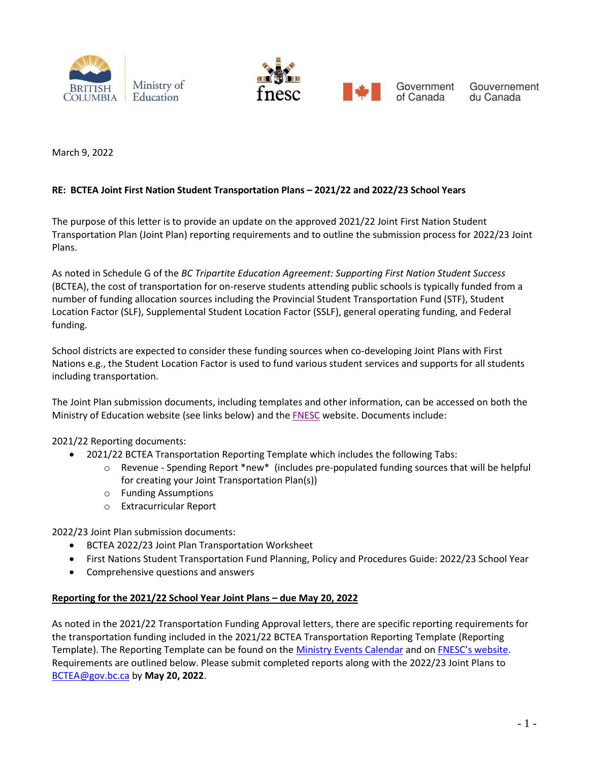



March 9, 2022

#### **RE: BCTEA Joint First Nation Student Transportation Plans – 2021/22 and 2022/23 School Years**

The purpose of this letter is to provide an update on the approved 2021/22 Joint First Nation Student Transportation Plan (Joint Plan) reporting requirements and to outline the submission process for 2022/23 Joint Plans.

As noted in Schedule G of the *BC Tripartite Education Agreement: Supporting First Nation Student Success* (BCTEA), the cost of transportation for on-reserve students attending public schools is typically funded from a number of funding allocation sources including the Provincial Student Transportation Fund (STF), Student Location Factor (SLF), Supplemental Student Location Factor (SSLF), general operating funding, and Federal funding.

School districts are expected to consider these funding sources when co-developing Joint Plans with First Nations e.g., the Student Location Factor is used to fund various student services and supports for all students including transportation.

The Joint Plan submission documents, including templates and other information, can be accessed on both the [Ministry of Education website](https://events.gov.bc.ca/educ/events/) (see links below) and the [FNESC](http://www.fnesc.ca/bctea/transportation-public-schools/) website. Documents include:

2021/22 Reporting documents:

- 2021/22 BCTEA Transportation Reporting Template which includes the following Tabs:
	- $\circ$  Revenue Spending Report \*new\* (includes pre-populated funding sources that will be helpful for creating your Joint Transportation Plan(s))
	- o Funding Assumptions
	- o Extracurricular Report

2022/23 Joint Plan submission documents:

- BCTEA 2022/23 Joint Plan Transportation Worksheet
- First Nations Student Transportation Fund Planning, Policy and Procedures Guide: 2022/23 School Year
- Comprehensive questions and answers

#### **Reporting for the 2021/22 School Year Joint Plans – due May 20, 2022**

As noted in the 2021/22 Transportation Funding Approval letters, there are specific reporting requirements for the transportation funding included in the 2021/22 BCTEA Transportation Reporting Template (Reporting Template). The Reporting Template can be found on the [Ministry Events Calendar](https://events.gov.bc.ca/educ/event/bctea-joint-first-nations-transportation-report-2021-22-school-year/) and on [FNESC's website](http://www.fnesc.ca/bctea/transportation-public-schools/). Requirements are outlined below. Please submit completed reports along with the 2022/23 Joint Plans to [BCTEA@gov.bc.ca](mailto:BCTEA@gov.bc.ca) by **May 20, 2022**.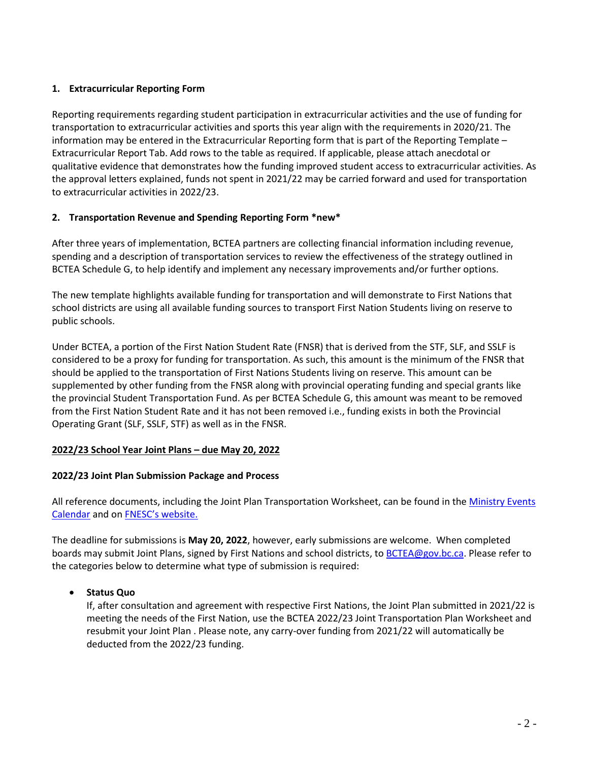### **1. Extracurricular Reporting Form**

Reporting requirements regarding student participation in extracurricular activities and the use of funding for transportation to extracurricular activities and sports this year align with the requirements in 2020/21. The information may be entered in the Extracurricular Reporting form that is part of the Reporting Template – Extracurricular Report Tab. Add rows to the table as required. If applicable, please attach anecdotal or qualitative evidence that demonstrates how the funding improved student access to extracurricular activities. As the approval letters explained, funds not spent in 2021/22 may be carried forward and used for transportation to extracurricular activities in 2022/23.

#### **2. Transportation Revenue and Spending Reporting Form \*new\***

After three years of implementation, BCTEA partners are collecting financial information including revenue, spending and a description of transportation services to review the effectiveness of the strategy outlined in BCTEA Schedule G, to help identify and implement any necessary improvements and/or further options.

The new template highlights available funding for transportation and will demonstrate to First Nations that school districts are using all available funding sources to transport First Nation Students living on reserve to public schools.

Under BCTEA, a portion of the First Nation Student Rate (FNSR) that is derived from the STF, SLF, and SSLF is considered to be a proxy for funding for transportation. As such, this amount is the minimum of the FNSR that should be applied to the transportation of First Nations Students living on reserve. This amount can be supplemented by other funding from the FNSR along with provincial operating funding and special grants like the provincial Student Transportation Fund. As per BCTEA Schedule G, this amount was meant to be removed from the First Nation Student Rate and it has not been removed i.e., funding exists in both the Provincial Operating Grant (SLF, SSLF, STF) as well as in the FNSR.

# **2022/23 School Year Joint Plans – due May 20, 2022**

# **2022/23 Joint Plan Submission Package and Process**

All reference documents, including the Joint Plan Transportation Worksheet, can be found in the Ministry Events Calendar and on [FNESC's website](https://events.gov.bc.ca/educ/event/bctea-joint-first-nation-transportation-plans-for-2022-23-school-year/).

The deadline for submissions is **May 20, 2022**, however, early submissions are welcome. When completed boards may submit Joint Plans, signed by First Nations and school districts, t[o BCTEA@gov.bc.ca.](mailto:BCTEA@gov.bc.ca) Please refer to the categories below to determine what type of submission is required:

# • **Status Quo**

If, after consultation and agreement with respective First Nations, the Joint Plan submitted in 2021/22 is meeting the needs of the First Nation, use the BCTEA 2022/23 Joint Transportation Plan Worksheet and resubmit your Joint Plan . Please note, any carry-over funding from 2021/22 will automatically be deducted from the 2022/23 funding.